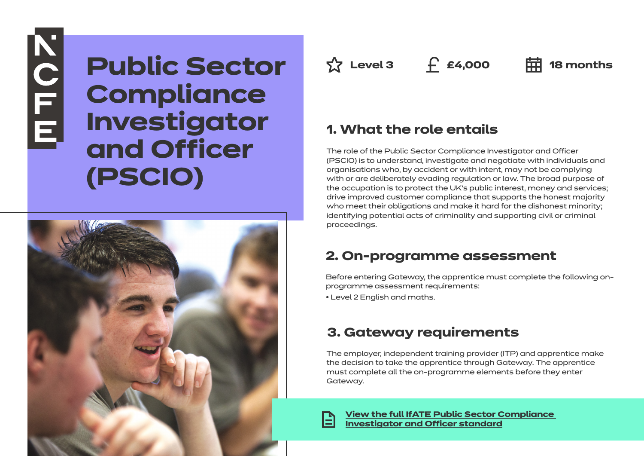# **KOLE**

# **Public Sector Compliance Investigator and Officer (PSCIO)**



**Az Level 3 f £4,000 中 18** months

# **1. What the role entails**

The role of the Public Sector Compliance Investigator and Officer (PSCIO) is to understand, investigate and negotiate with individuals and organisations who, by accident or with intent, may not be complying with or are deliberately evading regulation or law. The broad purpose of the occupation is to protect the UK's public interest, money and services; drive improved customer compliance that supports the honest majority who meet their obligations and make it hard for the dishonest minority; identifying potential acts of criminality and supporting civil or criminal proceedings.

# **2. On-programme assessment**

Before entering Gateway, the apprentice must complete the following onprogramme assessment requirements:

• Level 2 English and maths.

# **3. Gateway requirements**

The employer, independent training provider (ITP) and apprentice make the decision to take the apprentice through Gateway. The apprentice must complete all the on-programme elements before they enter Gateway.

**[View the full IfATE Public Sector Compliance](https://www.instituteforapprenticeships.org/apprenticeship-standards/healthcare-assistant-practitioner/)  [Investigator and Officer standard](https://www.instituteforapprenticeships.org/apprenticeship-standards/public-sector-compliance-investigator-and-officer/)**